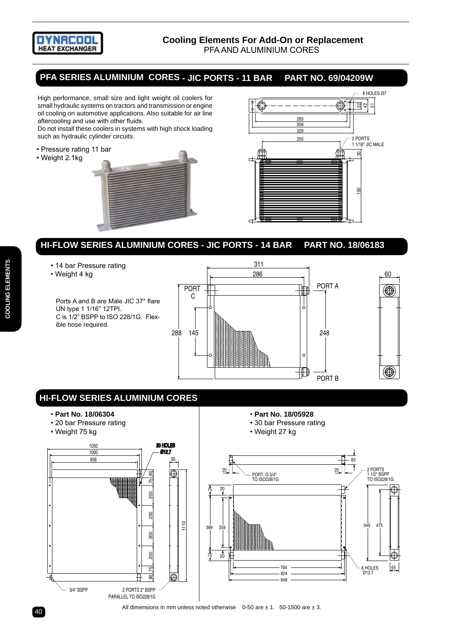

## **PFA SERIES ALUMINIUM CORES - JIC Ports - 11 Bar Part No. 69/04209W**

High performance, small size and light weight oil coolers for small hydraulic systems on tractors and transmission or engine oil cooling on automotive applications. Also suitable for air line aftercooling and use with other fluids.

Do not install these coolers in systems with high shock loading such as hydraulic cylinder circuits.

- Pressure rating 11 bar
- Weight 2.1kg





- 14 bar Pressure rating
- Weight 4 kg

Ports A and B are Male JIC 37° flare UN type 1 1/16" 12TPI. C is 1/2" BSPP to ISO 228/1G. Flexible hose required.



• **Part No. 18/05928**

## **HI-FLOW SERIES ALUMINIUM CORES**

- **Part No. 18/06304**
- 20 bar Pressure rating
- Weight 75 kg